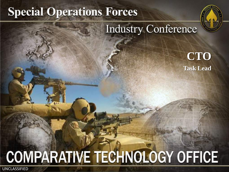# **Special Operations Forces**



### **Industry Conference**

**CTO Task Lead**

# **COMPARATIVE TECHNOLOGY OFFICE**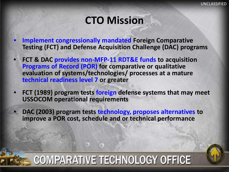### **CTO Mission**

- **Implement congressionally mandated Foreign Comparative Testing (FCT) and Defense Acquisition Challenge (DAC) programs**
- **FCT & DAC provides non-MFP-11 RDT&E funds to acquisition Programs of Record (POR) for comparative or qualitative evaluation of systems/technologies/ processes at a mature technical readiness level 7 or greater**
- **FCT (1989) program tests foreign defense systems that may meet USSOCOM operational requirements**
- **DAC (2003) program tests technology, proposes alternatives to improve a POR cost, schedule and or technical performance**

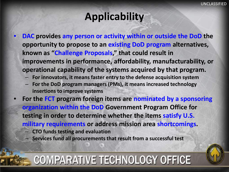# **Applicability**

- **DAC provides any person or activity within or outside the DoD the opportunity to propose to an existing DoD program alternatives, known as "Challenge Proposals," that could result in improvements in performance, affordability, manufacturability, or operational capability of the systems acquired by that program.** 
	- **For innovators, it means faster entry to the defense acquisition system**
	- **For the DoD program managers (PMs), it means increased technology insertions to improve systems**
- **For the FCT program foreign items are nominated by a sponsoring organization within the DoD Government Program Office for testing in order to determine whether the items satisfy U.S. military requirements or address mission area shortcomings.** – **CTO funds testing and evaluation** 
	- **Services fund all procurements that result from a successful test**

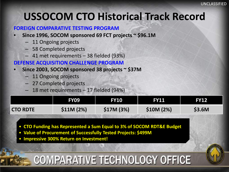## **USSOCOM CTO Historical Track Record**

#### **FOREIGN COMPARATIVE TESTING PROGRAM**

- **Since 1996, SOCOM sponsored 69 FCT projects ~ \$96.1M**
	- 11 Ongoing projects
	- 58 Completed projects
	- 41 met requirements 38 fielded (93%)

#### **DEFENSE ACQUISITION CHALLENGE PROGRAM**

- **Since 2003, SOCOM sponsored 38 projects ~ \$37M**
	- 11 Ongoing projects
	- 27 Completed projects
	- 18 met requirements 17 fielded (94%)

|                 | FY09       | <b>FY10</b> | <b>FY11</b> | <b>FY12</b> |
|-----------------|------------|-------------|-------------|-------------|
| <b>CTO RDTE</b> | \$11M (2%) | \$17M (3%)  | \$10M (2%)  | \$3.6M      |

- **CTO Funding has Represented a Sum Equal to 3% of SOCOM RDT&E Budget**
- **Value of Procurement of Successfully Tested Projects: \$499M**
- **Impressive 300% Return on Investment!**

UNCLASSIFIED

# **COMPARATIVE TECHNOLOGY OFFICE**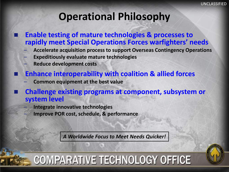### **Operational Philosophy**

- **Enable testing of mature technologies & processes to rapidly meet Special Operations Forces warfighters' needs**
	- **Accelerate acquisition process to support Overseas Contingency Operations**
	- **Expeditiously evaluate mature technologies**
	- **Reduce development costs**
- **Enhance interoperability with coalition & allied forces**
	- **Common equipment at the best value**
- **Challenge existing programs at component, subsystem or system level**
	- **Integrate innovative technologies**
	- **Improve POR cost, schedule, & performance**

*A Worldwide Focus to Meet Needs Quicker!*

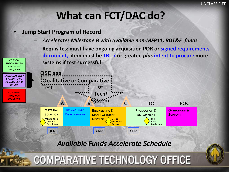### **What can FCT/DAC do?**

• **Jump Start Program of Record**

*RDECOM RDECs / AMSAA*

- *Accelerates Milestone B with available non-MFP11, RDT&E funds*
- **Requisites: must have ongoing acquisition POR or signed requirements document, item must be TRL 7 or greater,** *plus* **intent to procure more systems if test successful**

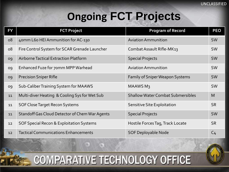# **Ongoing FCT Projects**

| <b>FY</b> | <b>FCT Project</b>                             | <b>Program of Record</b>                 | <b>PEO</b>     |
|-----------|------------------------------------------------|------------------------------------------|----------------|
| <b>08</b> | 40mm L60 HEI Ammunition for AC-130             | <b>Aviation Ammunition</b>               | <b>SW</b>      |
| 08        | Fire Control System for SCAR Grenade Launcher  | Combat Assault Rifle-MK13                | <b>SW</b>      |
| 09        | Airborne Tactical Extraction Platform          | <b>Special Projects</b>                  | <b>SW</b>      |
| 09        | Enhanced Fuze for 70mm MPP Warhead             | <b>Aviation Ammunition</b>               | <b>SW</b>      |
| 09        | <b>Precision Sniper Rifle</b>                  | <b>Family of Sniper Weapon Systems</b>   | <b>SW</b>      |
| 09        | Sub-Caliber Training System for MAAWS          | <b>MAAWS M3</b>                          | <b>SW</b>      |
| 11        | Multi-diver Heating & Cooling Sys for Wet Sub  | <b>Shallow Water Combat Submersibles</b> | M              |
| 11        | SOF Close Target Recon Systems                 | <b>Sensitive Site Exploitation</b>       | <b>SR</b>      |
| 11        | Standoff Gas Cloud Detector of Chem War Agents | <b>Special Projects</b>                  | <b>SW</b>      |
| 12        | SOF Special Recon & Exploitation Systems       | Hostile Forces Tag, Track Locate         | <b>SR</b>      |
| 12        | <b>Tactical Communications Enhancements</b>    | <b>SOF Deployable Node</b>               | C <sub>4</sub> |

**COMPARATIVE TECHNOLOGY OFFICE** 

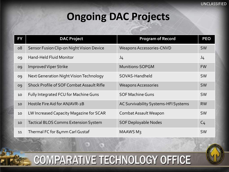# **Ongoing DAC Projects**

| <b>FY</b> | <b>DAC Project</b>                               | <b>Program of Record</b>             | <b>PEO</b>     |
|-----------|--------------------------------------------------|--------------------------------------|----------------|
| 08        | Sensor Fusion Clip-on Night Vision Device        | <b>Weapons Accessories-CNVD</b>      | <b>SW</b>      |
| 09        | <b>Hand-Held Fluid Monitor</b>                   | J <sub>4</sub>                       | J4             |
| 09        | <b>Improved Viper Strike</b>                     | <b>Munitions-SOPGM</b>               | <b>FW</b>      |
| 09        | Next Generation Night Vision Technology          | SOVAS-Handheld                       | <b>SW</b>      |
| 09        | <b>Shock Profile of SOF Combat Assault Rifle</b> | <b>Weapons Accessories</b>           | <b>SW</b>      |
| 10        | Fully Integrated FCU for Machine Guns            | <b>SOF Machine Guns</b>              | <b>SW</b>      |
| 10        | Hostile Fire Aid for AN/AVR-2B                   | AC Survivability Systems-HFI Systems | <b>RW</b>      |
| 10        | LW Increased Capacity Magazine for SCAR          | Combat Assault Weapon                | <b>SW</b>      |
| 10        | <b>Tactical BLOS Comms Extension System</b>      | <b>SOF Deployable Nodes</b>          | C <sub>4</sub> |
| 11        | Thermal FC for 84mm Carl Gustaf                  | <b>MAAWS M3</b>                      | <b>SW</b>      |

**COMPARATIVE TECHNOLOGY OFFICE** 

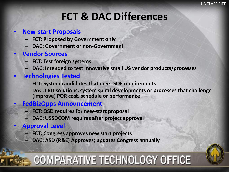# **FCT & DAC Differences**

#### • **New-start Proposals**

- **FCT: Proposed by Government only**
- **DAC: Government or non-Government**

#### • **Vendor Sources**

- **FCT: Test foreign systems**
- **DAC: Intended to test innovative small US vendor products/processes**

#### • **Technologies Tested**

- **FCT: System candidates that meet SOF requirements**
- **DAC: LRU solutions, system spiral developments or processes that challenge (improve) POR cost, schedule or performance**

#### • **FedBizOpps Announcement**

- **FCT: OSD requires for new-start proposal**
- **DAC: USSOCOM requires after project approval**

#### • **Approval Level**

- **FCT: Congress approves new start projects**
- **DAC: ASD (R&E) Approves; updates Congress annually**

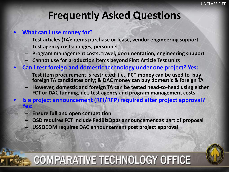### **Frequently Asked Questions**

#### • **What can I use money for?**

- **Test articles (TA): items purchase or lease, vendor engineering support**
- **Test agency costs: ranges, personnel**
- **Program management costs: travel, documentation, engineering support**
- **Cannot use for production items beyond First Article Test units**
- **Can I test foreign and domestic technology under one project? Yes:**
	- **Test item procurement is restricted; i.e., FCT money can be used to buy foreign TA candidates only; & DAC money can buy domestic & foreign TA**
	- **However, domestic and foreign TA can be tested head-to-head using either FCT or DAC funding, i.e., test agency and program management costs**
- **Is a project announcement (RFI/RFP) required after project approval? Yes:**
	- **Ensure full and open competition**
	- **OSD requires FCT include FedBizOpps announcement as part of proposal**
	- **USSOCOM requires DAC announcement post project approval**

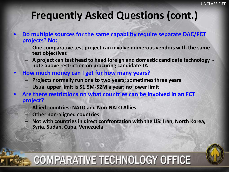### **Frequently Asked Questions (cont.)**

- **Do multiple sources for the same capability require separate DAC/FCT projects? No:**
	- **One comparative test project can involve numerous vendors with the same test objectives**
	- **A project can test head to head foreign and domestic candidate technology - note above restriction on procuring candidate TA**
- **How much money can I get for how many years?**
	- **Projects normally run one to two years; sometimes three years**
	- **Usual upper limit is \$1.5M-\$2M a year; no lower limit**
- **Are there restrictions on what countries can be involved in an FCT project?**
	- **Allied countries: NATO and Non-NATO Allies**
	- **Other non-aligned countries**

UNCLASSIFIED

- **Not with countries in direct confrontation with the US: Iran, North Korea,**
- **Syria, Sudan, Cuba, Venezuela**



# **COMPARATIVE TECHNOLOGY OFFICE**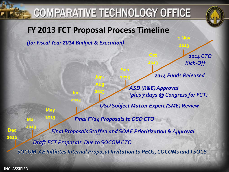# **COMPARATIVE TECHNOLOGY OFFICE**



### **FY 2013 FCT Proposal Process Timeline**

**Jun-**

**Aug** 

**2013**

*(for Fiscal Year 2014 Budget & Execution)*

**Jun** 

**2013**

**May**

**2013**

**Mar**

*2014 CTO Kick-Off*

*2014 Funds Released*

**1 Nov** 

**2013**

*ASD (R&E) Approval (plus 7 days @ Congress for FCT)* 

*OSD Subject Matter Expert (SME) Review*

*Final FY14 Proposals to OSD CTO*

**Sep** 

**2013**

**Dec 2012** *SOCOM AE Initiates Internal Proposal Invitation to PEOs, COCOMs and TSOCS Final Proposals Staffed and SOAE Prioritization & Approval* **2013** *Draft FCT Proposals Due to SOCOM CTO*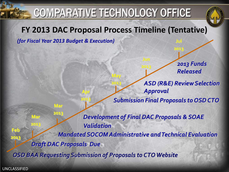# **COMPARATIVE TECHNOLOGY OFFICE**

### **FY 2013 DAC Proposal Process Timeline (Tentative)**

**May**

**2013**

*(for Fiscal Year 2013 Budget & Execution)*

**Apr** 

**2013**

**Mar**

*2013 Funds Released*

*ASD (R&E) Review Selection Approval* 

**Jul**

**2013**

*Submission Final Proposals to OSD CTO*

**2013**

**2013** *OSD BAA Requesting Submission of Proposals to CTO Website Mandated SOCOM Administrative and Technical Evaluation Development of Final DAC Proposals & SOAE Validation* **Mar 2013** *Draft DAC Proposals Due*

UNCLASSIFIED

**Feb**

**2013**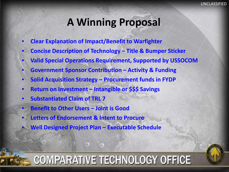### **A Winning Proposal**

- **Clear Explanation of Impact/Benefit to Warfighter**
- **Concise Description of Technology – Title & Bumper Sticker**
- **Valid Special Operations Requirement, Supported by USSOCOM**
- **Government Sponsor Contribution – Activity & Funding**
- **Solid Acquisition Strategy – Procurement funds in FYDP**
- **Return on Investment – Intangible or \$\$\$ Savings**
- **Substantiated Claim of TRL 7**
	- **Benefit to Other Users – Joint is Good**
- **Letters of Endorsement & Intent to Procure**
- **Well Designed Project Plan – Executable Schedule**

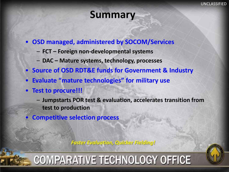### **Summary**

- **OSD managed, administered by SOCOM/Services**
	- **FCT – Foreign non-developmental systems**
	- **DAC – Mature systems, technology, processes**
- **Source of OSD RDT&E funds for Government & Industry**
- **Evaluate "mature technologies" for military use**
- **Test to procure!!!**
	- **Jumpstarts POR test & evaluation, accelerates transition from test to production**
- **Competitive selection process**

*Faster Evaluation, Quicker Fielding!*